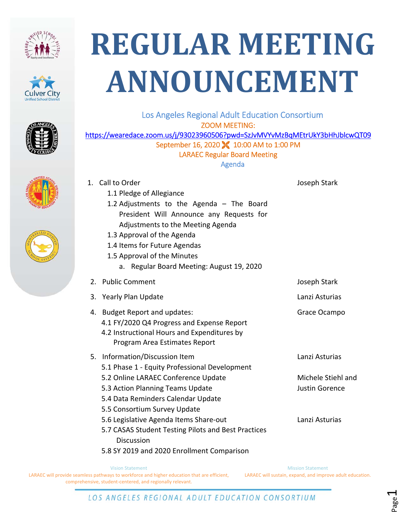







| Los Angeles Regional Adult Education Consortium                              |                       |
|------------------------------------------------------------------------------|-----------------------|
| <b>ZOOM MEETING:</b>                                                         |                       |
| https://wearedace.zoom.us/j/93023960506?pwd=SzJvMVYvMzBqMEtrUkY3bHhJblcwQT09 |                       |
| September 16, 2020 <b>X</b> 10:00 AM to 1:00 PM                              |                       |
| <b>LARAEC Regular Board Meeting</b><br>Agenda                                |                       |
|                                                                              |                       |
| 1. Call to Order                                                             | Joseph Stark          |
| 1.1 Pledge of Allegiance                                                     |                       |
| 1.2 Adjustments to the Agenda - The Board                                    |                       |
| President Will Announce any Requests for                                     |                       |
| Adjustments to the Meeting Agenda                                            |                       |
| 1.3 Approval of the Agenda                                                   |                       |
| 1.4 Items for Future Agendas                                                 |                       |
| 1.5 Approval of the Minutes                                                  |                       |
| a. Regular Board Meeting: August 19, 2020                                    |                       |
| 2. Public Comment                                                            | Joseph Stark          |
| Yearly Plan Update<br>3.                                                     | Lanzi Asturias        |
| 4. Budget Report and updates:                                                | Grace Ocampo          |
| 4.1 FY/2020 Q4 Progress and Expense Report                                   |                       |
| 4.2 Instructional Hours and Expenditures by                                  |                       |
| Program Area Estimates Report                                                |                       |
| 5. Information/Discussion Item                                               | Lanzi Asturias        |
| 5.1 Phase 1 - Equity Professional Development                                |                       |
| 5.2 Online LARAEC Conference Update                                          | Michele Stiehl and    |
| 5.3 Action Planning Teams Update                                             | <b>Justin Gorence</b> |
| 5.4 Data Reminders Calendar Update                                           |                       |
| 5.5 Consortium Survey Update                                                 |                       |
| 5.6 Legislative Agenda Items Share-out                                       | Lanzi Asturias        |
| 5.7 CASAS Student Testing Pilots and Best Practices                          |                       |
| Discussion                                                                   |                       |

5.8 SY 2019 and 2020 Enrollment Comparison

Vision Statement LARAEC will provide seamless pathways to workforce and higher education that are efficient, comprehensive, student‐centered, and regionally relevant.

Mission Statement LARAEC will sustain, expand, and improve adult education.

Page